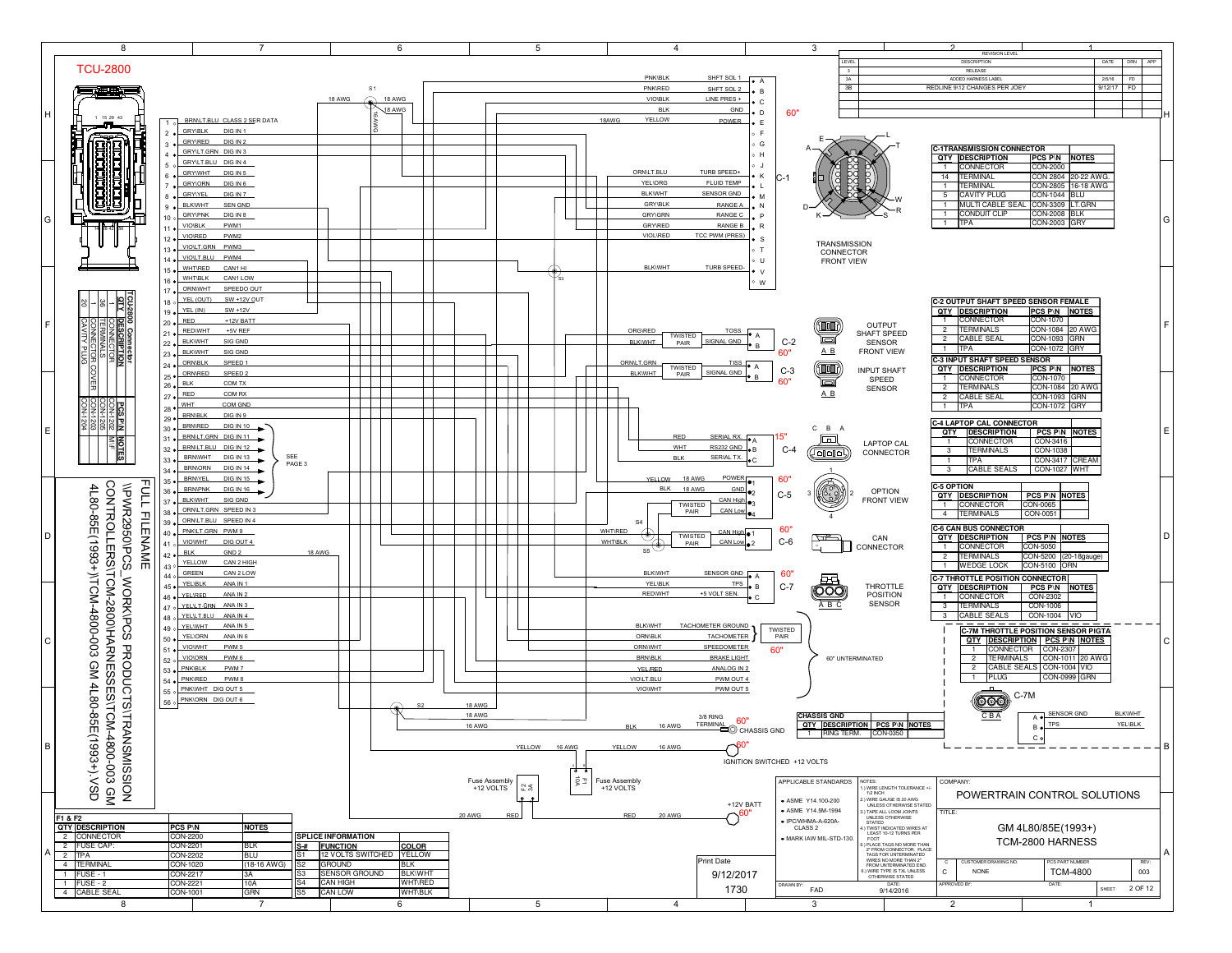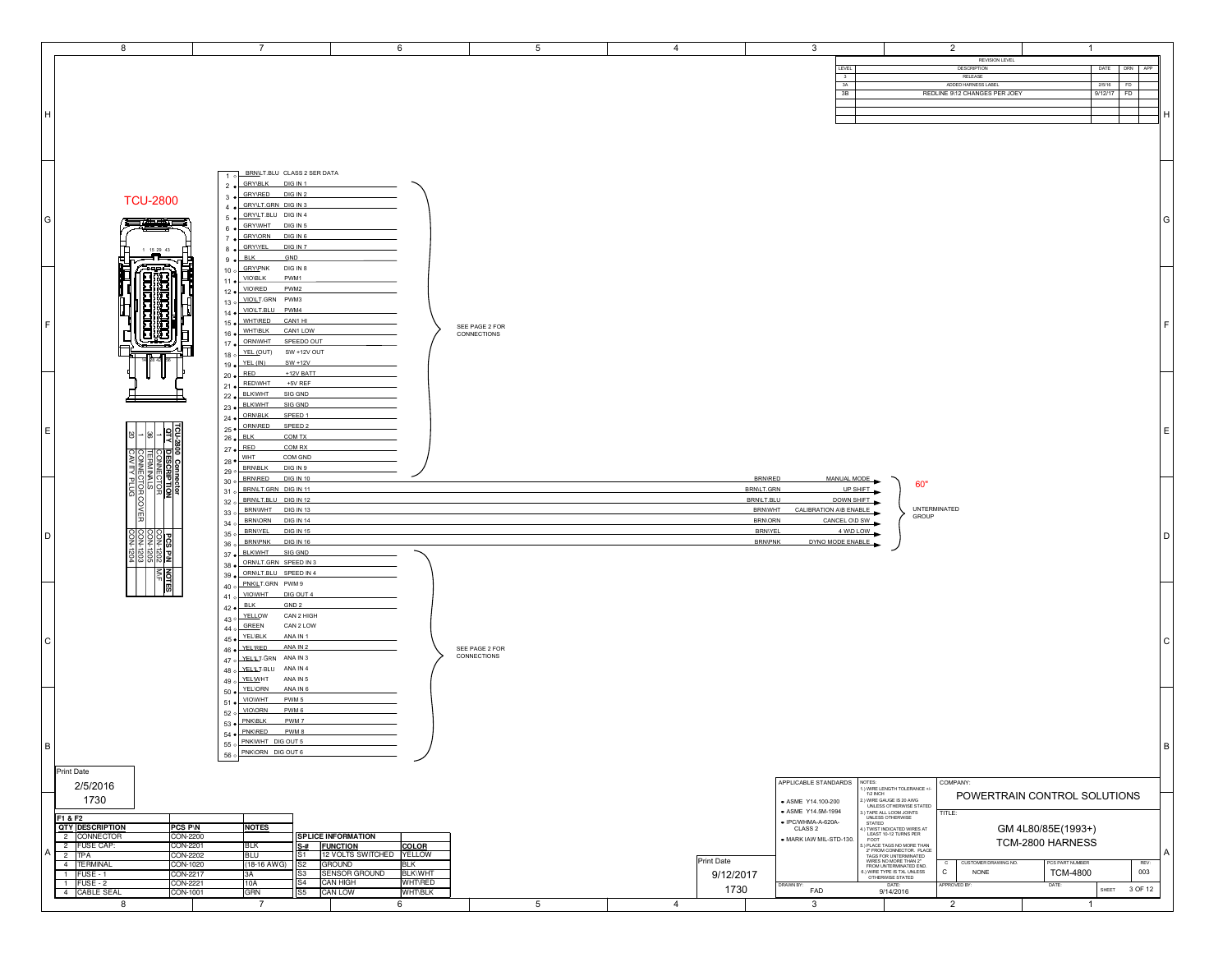|      | 8                                                  | $\overline{7}$                                                                       | 6                                                              | 5                             | $\overline{4}$         | $\mathbf{3}$                                     |                                                                                                                                                                                                                            | $\overline{2}$                                                 | $\overline{1}$                     |                                     |     |
|------|----------------------------------------------------|--------------------------------------------------------------------------------------|----------------------------------------------------------------|-------------------------------|------------------------|--------------------------------------------------|----------------------------------------------------------------------------------------------------------------------------------------------------------------------------------------------------------------------------|----------------------------------------------------------------|------------------------------------|-------------------------------------|-----|
|      |                                                    |                                                                                      |                                                                |                               |                        | LEVEL                                            |                                                                                                                                                                                                                            | REVISION LEVEL<br>DESCRIPTION                                  |                                    | DATE<br><b>DRN</b><br>APP           |     |
|      |                                                    |                                                                                      |                                                                |                               |                        | 3                                                |                                                                                                                                                                                                                            | RELEASE                                                        |                                    |                                     |     |
|      |                                                    |                                                                                      |                                                                |                               |                        | 3A<br>3B                                         |                                                                                                                                                                                                                            | ADDED HARNESS LABEL<br>REDLINE 9\12 CHANGES PER JOEY           |                                    | 2/5/16<br><b>FD</b><br>$9/12/17$ FD |     |
|      |                                                    |                                                                                      |                                                                |                               |                        |                                                  |                                                                                                                                                                                                                            |                                                                |                                    |                                     |     |
| Iн.  |                                                    |                                                                                      |                                                                |                               |                        |                                                  |                                                                                                                                                                                                                            |                                                                |                                    |                                     |     |
|      |                                                    |                                                                                      |                                                                |                               |                        |                                                  |                                                                                                                                                                                                                            |                                                                |                                    |                                     |     |
|      |                                                    |                                                                                      |                                                                |                               |                        |                                                  |                                                                                                                                                                                                                            |                                                                |                                    |                                     |     |
|      |                                                    |                                                                                      |                                                                |                               |                        |                                                  |                                                                                                                                                                                                                            |                                                                |                                    |                                     |     |
|      |                                                    | BRN/LT.BLU CLASS 2 SER DATA<br>$1$ o                                                 |                                                                |                               |                        |                                                  |                                                                                                                                                                                                                            |                                                                |                                    |                                     |     |
|      |                                                    | <b>GRY\BLK</b><br>DIG IN 1<br>$2 \bullet$                                            |                                                                |                               |                        |                                                  |                                                                                                                                                                                                                            |                                                                |                                    |                                     |     |
|      | <b>TCU-2800</b>                                    | GRY\RED<br>DIG IN 2<br>$3 \bullet$                                                   |                                                                |                               |                        |                                                  |                                                                                                                                                                                                                            |                                                                |                                    |                                     |     |
|      |                                                    | GRY/LT.GRN DIG IN 3<br>4.9                                                           |                                                                |                               |                        |                                                  |                                                                                                                                                                                                                            |                                                                |                                    |                                     |     |
| G    | 三生中的三                                              | GRY/LT.BLU DIG IN 4<br>$5 \bullet$<br>GRYWHT DIG IN 5                                |                                                                |                               |                        |                                                  |                                                                                                                                                                                                                            |                                                                |                                    |                                     | ١G  |
|      |                                                    | $6 \bullet$<br>GRY\ORN DIG IN 6<br>$7 \bullet$                                       |                                                                |                               |                        |                                                  |                                                                                                                                                                                                                            |                                                                |                                    |                                     |     |
|      | 1 15 29 43                                         | <b>GRYIYEL</b><br>DIG IN 7<br>$8 \bullet$                                            |                                                                |                               |                        |                                                  |                                                                                                                                                                                                                            |                                                                |                                    |                                     |     |
|      | ▃▞▙▁                                               | <b>BLK</b><br>GND<br>$9 \bullet$                                                     |                                                                |                               |                        |                                                  |                                                                                                                                                                                                                            |                                                                |                                    |                                     |     |
|      |                                                    | $10 \circ \frac{GRY1PN}{PRK}$ DIG IN 8<br>PWM1<br><b>VIO\BLK</b><br>$11 \bullet$     |                                                                |                               |                        |                                                  |                                                                                                                                                                                                                            |                                                                |                                    |                                     |     |
|      |                                                    | VIO\RED<br>PWM2<br>$12 \bullet$                                                      |                                                                |                               |                        |                                                  |                                                                                                                                                                                                                            |                                                                |                                    |                                     |     |
|      |                                                    | VIOLT.GRN PWM3<br>130                                                                |                                                                |                               |                        |                                                  |                                                                                                                                                                                                                            |                                                                |                                    |                                     |     |
|      |                                                    | VIOLT.BLU PWM4<br>$14 \bullet$                                                       |                                                                |                               |                        |                                                  |                                                                                                                                                                                                                            |                                                                |                                    |                                     |     |
| l F. |                                                    | WHT\RED<br>CAN1 HI<br>$15 \bullet$<br><b>WHT\BLK</b><br>CAN1 LOW<br>$16 \bullet$     |                                                                | SEE PAGE 2 FOR<br>CONNECTIONS |                        |                                                  |                                                                                                                                                                                                                            |                                                                |                                    |                                     |     |
|      |                                                    | ORNWHT<br>SPEEDO OUT<br>$17 \bullet$                                                 |                                                                |                               |                        |                                                  |                                                                                                                                                                                                                            |                                                                |                                    |                                     |     |
|      |                                                    | 18 o YEL (OUT)<br>SW +12V OUT                                                        |                                                                |                               |                        |                                                  |                                                                                                                                                                                                                            |                                                                |                                    |                                     |     |
|      |                                                    | YEL (IN)<br>$SW + 12V$<br>$19 \bullet$<br>RED<br>+12V BATT<br>$20 \bullet$           |                                                                |                               |                        |                                                  |                                                                                                                                                                                                                            |                                                                |                                    |                                     |     |
|      |                                                    | <b>REDWHT</b><br>+5V REF<br>$21 \bullet$                                             |                                                                |                               |                        |                                                  |                                                                                                                                                                                                                            |                                                                |                                    |                                     |     |
|      |                                                    | 22 · BLKWHT<br>SIG GND                                                               |                                                                |                               |                        |                                                  |                                                                                                                                                                                                                            |                                                                |                                    |                                     |     |
|      |                                                    | <b>BLKWHT</b><br>SIG GND<br>$23 \bullet$<br><b>ORN\BLK</b><br>SPEED 1                |                                                                |                               |                        |                                                  |                                                                                                                                                                                                                            |                                                                |                                    |                                     |     |
|      |                                                    | $24 \bullet$<br>ORN\RED<br>SPEED 2<br>$25 \bullet$                                   |                                                                |                               |                        |                                                  |                                                                                                                                                                                                                            |                                                                |                                    |                                     |     |
| E    | $\frac{1}{\frac{1}{2}}$                            | $26 \bullet$ BLK<br>COM TX                                                           |                                                                |                               |                        |                                                  |                                                                                                                                                                                                                            |                                                                |                                    |                                     | l E |
|      |                                                    | $27 \bullet \overline{\phantom{137}}$ RED<br>COM RX                                  |                                                                |                               |                        |                                                  |                                                                                                                                                                                                                            |                                                                |                                    |                                     |     |
|      |                                                    | $28 \bullet \frac{\text{WHT}}{}$<br>COM GND                                          |                                                                |                               |                        |                                                  |                                                                                                                                                                                                                            |                                                                |                                    |                                     |     |
|      |                                                    |                                                                                      |                                                                |                               |                        |                                                  |                                                                                                                                                                                                                            |                                                                |                                    |                                     |     |
|      |                                                    | 29 o BRNBLK<br>DIG IN 9<br><b>BRN/RED</b><br>DIG IN 10                               |                                                                |                               |                        | <b>BRN\RED</b>                                   |                                                                                                                                                                                                                            |                                                                |                                    |                                     |     |
|      | <b>DESCRIPT</b>                                    | 30 <sub>o</sub><br>BRN/LT.GRN DIG IN 11<br>310                                       |                                                                |                               |                        | MANUAL MODE<br>BRN\LT.GRN                        | 60"<br>UP SHIFT                                                                                                                                                                                                            |                                                                |                                    |                                     |     |
|      | 帽                                                  | BRNLT.BLU DIG IN 12<br>320                                                           |                                                                |                               |                        | BRN/LT.BLU<br>DOWN SHIFT                         |                                                                                                                                                                                                                            |                                                                |                                    |                                     |     |
|      |                                                    | BRNWHT DIG IN 13<br>330                                                              |                                                                |                               |                        | <b>BRNWHT</b><br>CALIBRATION AVB ENABLE          | GROUP                                                                                                                                                                                                                      | UNTERMINATED                                                   |                                    |                                     |     |
|      | <b>COVER</b>                                       | <b>BRNORN</b><br><b>DIG IN 14</b><br>34 o<br><b>BRNIYEL</b><br><b>DIG IN 15</b>      |                                                                |                               |                        | <b>BRNORN</b><br>CANCEL OVD SW<br><b>BRNIYEL</b> | 4 WD LOW                                                                                                                                                                                                                   |                                                                |                                    |                                     |     |
| D.   | $\frac{1}{3}$                                      | 35°<br><b>BRN\PNK</b><br><b>DIG IN 16</b><br>36 o                                    |                                                                |                               |                        | DYNO MODE ENABLE<br><b>BRN\PNK</b>               |                                                                                                                                                                                                                            |                                                                |                                    |                                     | l n |
|      |                                                    | SIG GND<br><b>BLKWHT</b><br>$37 \bullet$                                             |                                                                |                               |                        |                                                  |                                                                                                                                                                                                                            |                                                                |                                    |                                     |     |
|      | 회형협형                                               | ORN/LT.GRN SPEED IN 3<br>$38 \bullet$                                                |                                                                |                               |                        |                                                  |                                                                                                                                                                                                                            |                                                                |                                    |                                     |     |
|      |                                                    | ORNLT.BLU SPEED IN 4<br>$39 \bullet$<br>PNKLT.GRN PWM 9<br>40°                       |                                                                |                               |                        |                                                  |                                                                                                                                                                                                                            |                                                                |                                    |                                     |     |
|      | $\frac{1}{\sqrt{2}}$                               | VIOWHT<br>DIG OUT 4<br>41°                                                           |                                                                |                               |                        |                                                  |                                                                                                                                                                                                                            |                                                                |                                    |                                     |     |
|      |                                                    | <b>BLK</b><br>GND <sub>2</sub><br>$42 \bullet$                                       |                                                                |                               |                        |                                                  |                                                                                                                                                                                                                            |                                                                |                                    |                                     |     |
|      |                                                    | 43 o YELLOW<br>CAN 2 HIGH<br>CAN 2 LOW                                               |                                                                |                               |                        |                                                  |                                                                                                                                                                                                                            |                                                                |                                    |                                     |     |
| l C  |                                                    | $44 \circ \overline{\overline{\text{GREEN}}}$<br>YEL\BLK<br>ANA IN 1<br>$45 \bullet$ |                                                                |                               |                        |                                                  |                                                                                                                                                                                                                            |                                                                |                                    |                                     | C   |
|      |                                                    | <b>YELIRED</b><br>ANA IN 2<br>46 .                                                   |                                                                | SEE PAGE 2 FOR<br>CONNECTIONS |                        |                                                  |                                                                                                                                                                                                                            |                                                                |                                    |                                     |     |
|      |                                                    | 47 o YELLI GRN ANA IN 3                                                              |                                                                |                               |                        |                                                  |                                                                                                                                                                                                                            |                                                                |                                    |                                     |     |
|      |                                                    | $48$ o YELLI BLU ANA IN 4<br>49 o $\sqrt{\frac{YELW}{H}}$ HT<br>ANA IN 5             |                                                                |                               |                        |                                                  |                                                                                                                                                                                                                            |                                                                |                                    |                                     |     |
|      |                                                    | <b>YEL\ORN</b><br>ANA IN 6<br>$50 \bullet$                                           |                                                                |                               |                        |                                                  |                                                                                                                                                                                                                            |                                                                |                                    |                                     |     |
|      |                                                    | VIOWHT<br>PWM <sub>5</sub><br>$51 \bullet$<br>VIO\ORN<br>PWM 6                       |                                                                |                               |                        |                                                  |                                                                                                                                                                                                                            |                                                                |                                    |                                     |     |
|      |                                                    | 52 <sub>o</sub><br>PNK\BLK<br>PWM 7<br>53 <sub>o</sub>                               |                                                                |                               |                        |                                                  |                                                                                                                                                                                                                            |                                                                |                                    |                                     |     |
|      |                                                    | <b>PNK\RED</b><br>PWM 8<br>$54 \bullet$                                              |                                                                |                               |                        |                                                  |                                                                                                                                                                                                                            |                                                                |                                    |                                     |     |
| B    |                                                    | 55 o PNKWHT DIG OUT 5                                                                |                                                                |                               |                        |                                                  |                                                                                                                                                                                                                            |                                                                |                                    |                                     | B   |
|      |                                                    | 56 o PNKORN DIG OUT 6                                                                |                                                                |                               |                        |                                                  |                                                                                                                                                                                                                            |                                                                |                                    |                                     |     |
|      | Print Date                                         |                                                                                      |                                                                |                               |                        |                                                  |                                                                                                                                                                                                                            |                                                                |                                    |                                     |     |
|      | 2/5/2016                                           |                                                                                      |                                                                |                               |                        | APPLICABLE STANDARDS NOTES:                      |                                                                                                                                                                                                                            | COMPANY:                                                       |                                    |                                     |     |
|      | 1730                                               |                                                                                      |                                                                |                               |                        | ASME Y14.100-200                                 | ) WIRE LENGTH TOLERANCE +/-<br>1/2 INCH<br>:.) WIRE GAUGE IS 20 AWG<br>UNLESS OTHERWISE STATED                                                                                                                             |                                                                | POWERTRAIN CONTROL SOLUTIONS       |                                     |     |
|      | F1 & F2                                            |                                                                                      |                                                                |                               |                        | • ASME Y14.5M-1994                               |                                                                                                                                                                                                                            | TITLE:                                                         |                                    |                                     |     |
|      | <b>QTY DESCRIPTION</b><br><b>PCS P\N</b>           | <b>NOTES</b>                                                                         |                                                                |                               |                        | · IPC/WHMA-A-620A-<br>CLASS <sub>2</sub>         | ) TAPE ALL LOOM JOINTS<br>UNLESS OTHERWISE<br>STATED                                                                                                                                                                       |                                                                | GM 4L80/85E(1993+)                 |                                     |     |
|      | 2 CONNECTOR<br>CON-2200<br>2 FUSE CAP:<br>CON-2201 | BLK                                                                                  | <b>SPLICE INFORMATION</b><br><b>FUNCTION</b>                   |                               |                        | · MARK IAW MIL-STD-130.                          | STATED<br>I.) TWIST INDICATED WIRES AT<br>LEAST 10-12 TURNS PER<br>FOOT                                                                                                                                                    |                                                                | TCM-2800 HARNESS                   |                                     |     |
|      | $2$ TPA<br><b>CON-2202</b>                         | <u>S-#</u><br>BLU<br>S1                                                              | <b>COLOR</b><br>12 VOLTS SWITCHED   YELLOW                     |                               |                        |                                                  |                                                                                                                                                                                                                            |                                                                |                                    |                                     | l A |
|      | 4 TERMINAL<br>CON-1020<br>1 FUSE - 1<br>CON-2217   | (18-16 AWG)<br>S2<br>S3<br>ЗА                                                        | <b>GROUND</b><br><b>BLK</b><br>SENSOR GROUND<br><b>BLK\WHT</b> |                               | Print Date             |                                                  |                                                                                                                                                                                                                            | CUSTOMER DRAWING NO.<br>$\circ$<br>$\mathtt{C}$<br><b>NONE</b> | PCS PART NUMBER<br><b>TCM-4800</b> | REV:<br>003                         |     |
|      | $1$ FUSE - 2<br>CON-2221                           | S4<br>10A                                                                            | <b>CAN HIGH</b><br><b>WHT\RED</b>                              |                               | 9/12/2017              | DRAWN BY:                                        | FOOT<br>S) PLACE TAGS NO MORE THAN<br>2" FROM CONNECTOR. PLACE<br>TAGS FOR UNTERMINATED<br>WIRES NO MORE THAN 2"<br>FROM UNTERMINATED END.<br>6.) WIRE TYPE IS TAL UNLESS<br>OTHERWISE STATED<br>OTHERWISE STATED<br>DATE: | <b>PPROVED BY</b>                                              | DATE:                              |                                     |     |
|      | 4 CABLE SEAL<br>CON-1001<br>8                      | S5<br>GRN<br>$\overline{7}$                                                          | <b>CAN LOW</b><br><b>WHT/BLK</b><br>6                          | $5\phantom{.0}$               | 1730<br>$\overline{4}$ | FAD<br>$\mathbf{3}$                              | 9/14/2016                                                                                                                                                                                                                  | $\overline{2}$                                                 | $\mathbf{1}$                       | SHEET<br>3 OF 12                    |     |